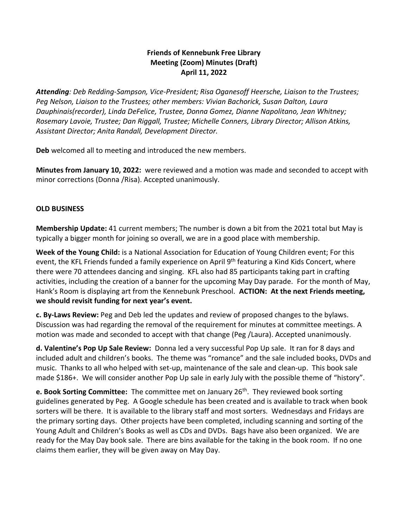## **Friends of Kennebunk Free Library Meeting (Zoom) Minutes (Draft) April 11, 2022**

*Attending: Deb Redding-Sampson, Vice-President; Risa Oganesoff Heersche, Liaison to the Trustees; Peg Nelson, Liaison to the Trustees; other members: Vivian Bachorick, Susan Dalton, Laura Dauphinais(recorder), Linda DeFelice, Trustee, Donna Gomez, Dianne Napolitano, Jean Whitney; Rosemary Lavoie, Trustee; Dan Riggall, Trustee; Michelle Conners, Library Director; Allison Atkins, Assistant Director; Anita Randall, Development Director.*

**Deb** welcomed all to meeting and introduced the new members.

**Minutes from January 10, 2022:** were reviewed and a motion was made and seconded to accept with minor corrections (Donna /Risa). Accepted unanimously.

## **OLD BUSINESS**

**Membership Update:** 41 current members; The number is down a bit from the 2021 total but May is typically a bigger month for joining so overall, we are in a good place with membership.

**Week of the Young Child:** is a National Association for Education of Young Children event; For this event, the KFL Friends funded a family experience on April 9<sup>th</sup> featuring a Kind Kids Concert, where there were 70 attendees dancing and singing. KFL also had 85 participants taking part in crafting activities, including the creation of a banner for the upcoming May Day parade. For the month of May, Hank's Room is displaying art from the Kennebunk Preschool. **ACTION: At the next Friends meeting, we should revisit funding for next year's event.**

**c. By-Laws Review:** Peg and Deb led the updates and review of proposed changes to the bylaws. Discussion was had regarding the removal of the requirement for minutes at committee meetings. A motion was made and seconded to accept with that change (Peg /Laura). Accepted unanimously.

**d. Valentine's Pop Up Sale Review:** Donna led a very successful Pop Up sale. It ran for 8 days and included adult and children's books. The theme was "romance" and the sale included books, DVDs and music. Thanks to all who helped with set-up, maintenance of the sale and clean-up. This book sale made \$186+. We will consider another Pop Up sale in early July with the possible theme of "history".

**e. Book Sorting Committee:** The committee met on January 26<sup>th</sup>. They reviewed book sorting guidelines generated by Peg. A Google schedule has been created and is available to track when book sorters will be there. It is available to the library staff and most sorters. Wednesdays and Fridays are the primary sorting days. Other projects have been completed, including scanning and sorting of the Young Adult and Children's Books as well as CDs and DVDs. Bags have also been organized. We are ready for the May Day book sale. There are bins available for the taking in the book room. If no one claims them earlier, they will be given away on May Day.